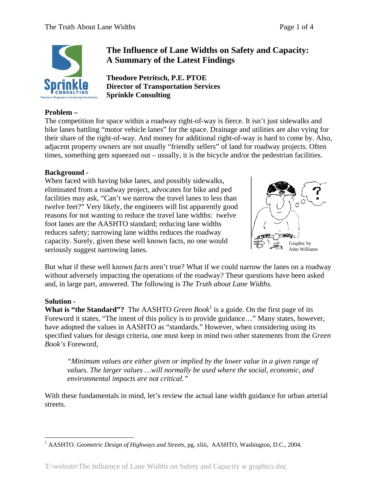

# **Problem –**

## **The Influence of Lane Widths on Safety and Capacity: A Summary of the Latest Findings**

**Theodore Petritsch, P.E. PTOE Director of Transportation Services Sprinkle Consulting**

The competition for space within a roadway right-of-way is fierce. It isn't just sidewalks and bike lanes battling "motor vehicle lanes" for the space. Drainage and utilities are also vying for their share of the right-of-way. And money for additional right-of-way is hard to come by. Also, adjacent property owners are not usually "friendly sellers" of land for roadway projects. Often times, something gets squeezed out – usually, it is the bicycle and/or the pedestrian facilities.

#### **Background -**

When faced with having bike lanes, and possibly sidewalks, eliminated from a roadway project, advocates for bike and ped facilities may ask, "Can't we narrow the travel lanes to less than twelve feet?" Very likely, the engineers will list apparently good reasons for not wanting to reduce the travel lane widths: twelve foot lanes are the AASHTO standard; reducing lane widths reduces safety; narrowing lane widths reduces the roadway capacity. Surely, given these well known facts, no one would seriously suggest narrowing lanes.



But what if these well known *facts* aren't true? What if we could narrow the lanes on a roadway without adversely impacting the operations of the roadway? These questions have been asked and, in large part, answered. The following is *The Truth about Lane Widths.* 

#### **Solution -**

**What is "the Standard"?** The AASHTO *Green Book*<sup>1</sup> is a guide. On the first page of its Foreword it states, "The intent of this policy is to provide guidance…" Many states, however, have adopted the values in AASHTO as "standards." However, when considering using its specified values for design criteria, one must keep in mind two other statements from the *Green Book's* Foreword,

*"Minimum values are either given or implied by the lower value in a given range of values. The larger values …will normally be used where the social, economic, and environmental impacts are not critical."* 

With these fundamentals in mind, let's review the actual lane width guidance for urban arterial streets.

<sup>&</sup>lt;u>.</u> <sup>1</sup> AASHTO. *Geometric Design of Highways and Streets*, pg. xliii, AASHTO, Washington, D.C., 2004.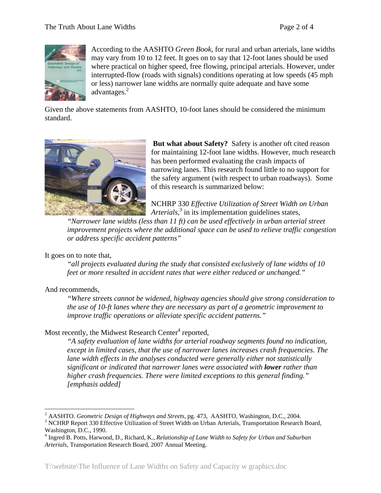

According to the AASHTO *Green Book*, for rural and urban arterials, lane widths may vary from 10 to 12 feet. It goes on to say that 12-foot lanes should be used where practical on higher speed, free flowing, principal arterials. However, under interrupted-flow (roads with signals) conditions operating at low speeds (45 mph or less) narrower lane widths are normally quite adequate and have some advantages. $<sup>2</sup>$ </sup>

Given the above statements from AASHTO, 10-foot lanes should be considered the minimum standard.



 **But what about Safety?** Safety is another oft cited reason for maintaining 12-foot lane widths. However, much research has been performed evaluating the crash impacts of narrowing lanes. This research found little to no support for the safety argument (with respect to urban roadways). Some of this research is summarized below:

NCHRP 330 *Effective Utilization of Street Width on Urban*  Arterials,<sup>3</sup> in its implementation guidelines states,

*"Narrower lane widths (less than 11 ft) can be used effectively in urban arterial street improvement projects where the additional space can be used to relieve traffic congestion or address specific accident patterns"* 

#### It goes on to note that,

*"all projects evaluated during the study that consisted exclusively of lane widths of 10 feet or more resulted in accident rates that were either reduced or unchanged."* 

#### And recommends,

1

*"Where streets cannot be widened, highway agencies should give strong consideration to the use of 10-ft lanes where they are necessary as part of a geometric improvement to improve traffic operations or alleviate specific accident patterns."* 

### Most recently, the Midwest Research Center<sup>4</sup> reported,

*"A safety evaluation of lane widths for arterial roadway segments found no indication, except in limited cases, that the use of narrower lanes increases crash frequencies. The lane width effects in the analyses conducted were generally either not statistically significant or indicated that narrower lanes were associated with lower rather than higher crash frequencies. There were limited exceptions to this general finding." [emphasis added]* 

<sup>&</sup>lt;sup>2</sup> AASHTO. *Geometric Design of Highways and Streets*, pg. 473, AASHTO, Washington, D.C., 2004. 3<br><sup>3</sup> NCHPP Bapert 220 Effective Utilization of Street Width on Urban Arterials. Transportation Becograph

<sup>&</sup>lt;sup>3</sup> NCHRP Report 330 Effective Utilization of Street Width on Urban Arterials, Transportation Research Board, Washington, D.C., 1990.

<sup>4</sup> Ingred B. Potts, Harwood, D., Richard, K., *Relationship of Lane Width to Safety for Urban and Suburban Arterials,* Transportation Research Board, 2007 Annual Meeting.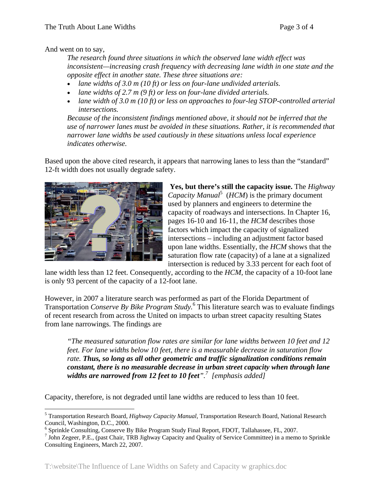And went on to say,

*The research found three situations in which the observed lane width effect was inconsistent—increasing crash frequency with decreasing lane width in one state and the opposite effect in another state. These three situations are:* 

- *lane widths of 3.0 m (10 ft) or less on four-lane undivided arterials.*
- *lane widths of 2.7 m (9 ft) or less on four-lane divided arterials.*
- lane width of 3.0 m (10 ft) or less on approaches to four-leg STOP-controlled arterial *intersections.*

*Because of the inconsistent findings mentioned above, it should not be inferred that the use of narrower lanes must be avoided in these situations. Rather, it is recommended that narrower lane widths be used cautiously in these situations unless local experience indicates otherwise.*

Based upon the above cited research, it appears that narrowing lanes to less than the "standard" 12-ft width does not usually degrade safety.



 $\overline{a}$ 

 **Yes, but there's still the capacity issue.** The *Highway*  Capacity Manual<sup>5</sup> ( $HCM$ ) is the primary document used by planners and engineers to determine the capacity of roadways and intersections. In Chapter 16, pages 16-10 and 16-11, the *HCM* describes those factors which impact the capacity of signalized intersections – including an adjustment factor based upon lane widths. Essentially, the *HCM* shows that the saturation flow rate (capacity) of a lane at a signalized intersection is reduced by 3.33 percent for each foot of

lane width less than 12 feet. Consequently, according to the *HCM*, the capacity of a 10-foot lane is only 93 percent of the capacity of a 12-foot lane.

However, in 2007 a literature search was performed as part of the Florida Department of Transportation *Conserve By Bike Program Study.*<sup>6</sup> This literature search was to evaluate findings of recent research from across the United on impacts to urban street capacity resulting States from lane narrowings. The findings are

*"The measured saturation flow rates are similar for lane widths between 10 feet and 12 feet. For lane widths below 10 feet, there is a measurable decrease in saturation flow rate. Thus, so long as all other geometric and traffic signalization conditions remain constant, there is no measurable decrease in urban street capacity when through lane widths are narrowed from 12 feet to 10 feet".7 [emphasis added]* 

Capacity, therefore, is not degraded until lane widths are reduced to less than 10 feet.

<sup>5</sup> Transportation Research Board, *Highway Capacity Manual*, Transportation Research Board, National Research Council, Washington, D.C., 2000.

<sup>&</sup>lt;sup>6</sup> Sprinkle Consulting, Conserve By Bike Program Study Final Report, FDOT, Tallahassee, FL, 2007.

<sup>&</sup>lt;sup>7</sup> John Zegeer, P.E., (past Chair, TRB Jighway Capacity and Quality of Service Committee) in a memo to Sprinkle Consulting Engineers, March 22, 2007.